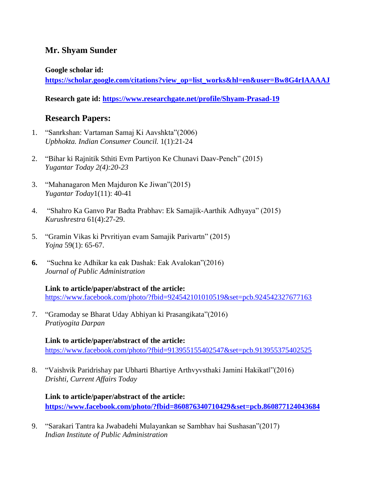# **Mr. Shyam Sunder**

### **Google scholar id:**

**[https://scholar.google.com/citations?view\\_op=list\\_works&hl=en&user=Bw8G4rIAAAAJ](https://scholar.google.com/citations?view_op=list_works&hl=en&user=Bw8G4rIAAAAJ)**

**Research gate id:<https://www.researchgate.net/profile/Shyam-Prasad-19>**

# **Research Papers:**

- 1. "Sanrkshan: Vartaman Samaj Ki Aavshkta"(2006) *Upbhokta. Indian Consumer Council.* 1(1):21-24
- 2. "Bihar ki Rajnitik Sthiti Evm Partiyon Ke Chunavi Daav-Pench" (2015) *Yugantar Today 2(4):20-23*
- 3. "Mahanagaron Men Majduron Ke Jiwan"(2015) *Yugantar Today*1(11): 40-41
- 4. "Shahro Ka Ganvo Par Badta Prabhav: Ek Samajik-Aarthik Adhyaya" (2015) *Kurushrestra* 61(4):27-29.
- 5. "Gramin Vikas ki Prvritiyan evam Samajik Parivartn" (2015) *Yojna* 59(1): 65-67.
- **6.** "Suchna ke Adhikar ka eak Dashak: Eak Avalokan"(2016) *Journal of Public Administration*

**Link to article/paper/abstract of the article:** <https://www.facebook.com/photo/?fbid=924542101010519&set=pcb.924542327677163>

7. "Gramoday se Bharat Uday Abhiyan ki Prasangikata"(2016) *Pratiyogita Darpan*

**Link to article/paper/abstract of the article:** <https://www.facebook.com/photo/?fbid=913955155402547&set=pcb.913955375402525>

8. "Vaishvik Paridrishay par Ubharti Bhartiye Arthvyvsthaki Jamini Hakikat‖"(2016) *Drishti, Current Affairs Today*

## **Link to article/paper/abstract of the article: <https://www.facebook.com/photo/?fbid=860876340710429&set=pcb.860877124043684>**

9. "Sarakari Tantra ka Jwabadehi Mulayankan se Sambhav hai Sushasan"(2017) *Indian Institute of Public Administration*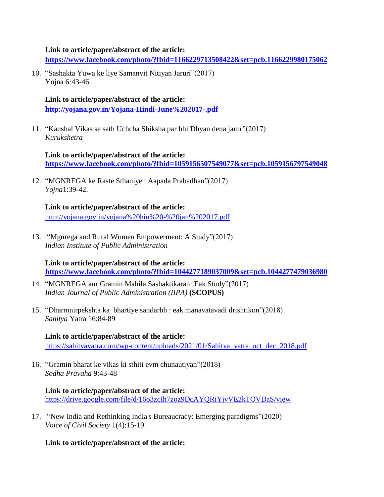#### **Link to article/paper/abstract of the article:**

**<https://www.facebook.com/photo/?fbid=1166229713508422&set=pcb.1166229980175062>**

10. "Sashakta Yuwa ke liye Samanvit Nitiyan Jaruri"(2017) Yojna 6*:*43-46

**Link to article/paper/abstract of the article: <http://yojana.gov.in/Yojana-Hindi-June%202017-.pdf>**

11. "Kaushal Vikas se sath Uchcha Shiksha par bhi Dhyan dena jarur"(2017) *Kurukshetra*

**Link to article/paper/abstract of the article: <https://www.facebook.com/photo/?fbid=1059156507549077&set=pcb.1059156797549048>**

12. "MGNREGA ke Raste Sthaniyen Aapada Prabadhan"(2017) *Yojna*1:39-42.

**Link to article/paper/abstract of the article:** <http://yojana.gov.in/yojana%20hin%20-%20jan%202017.pdf>

13. "Mgnrega and Rural Women Empowerment: A Study"(2017) *Indian Institute of Public Administration*

**Link to article/paper/abstract of the article: <https://www.facebook.com/photo/?fbid=1044277189037009&set=pcb.1044277479036980>**

- 14. "MGNREGA aur Gramin Mahila Sashaktikaran: Eak Study"(2017) *Indian Journal of Public Administration (IIPA)* **(SCOPUS)**
- 15. "Dharmnirpekshta ka bhartiye sandarbh : eak manavatavadi drishtikon"(2018) *Sahitya* Yatra 16:84-89

### **Link to article/paper/abstract of the article:**

[https://sahityayatra.com/wp-content/uploads/2021/01/Sahitya\\_yatra\\_oct\\_dec\\_2018.pdf](https://sahityayatra.com/wp-content/uploads/2021/01/Sahitya_yatra_oct_dec_2018.pdf)

16. "Gramin bharat ke vikas ki sthiti evm chunautiyan"(2018) *Sodha Pravaha* 9:43-48

### **Link to article/paper/abstract of the article:** <https://drive.google.com/file/d/16o3zcIh7zoz9DcAYQRiYjvVE2kTOVDaS/view>

17. "New India and Rethinking India's Bureaucracy: Emerging paradigms"(2020) *Voice of Civil Society* 1(4):15-19.

**Link to article/paper/abstract of the article:**